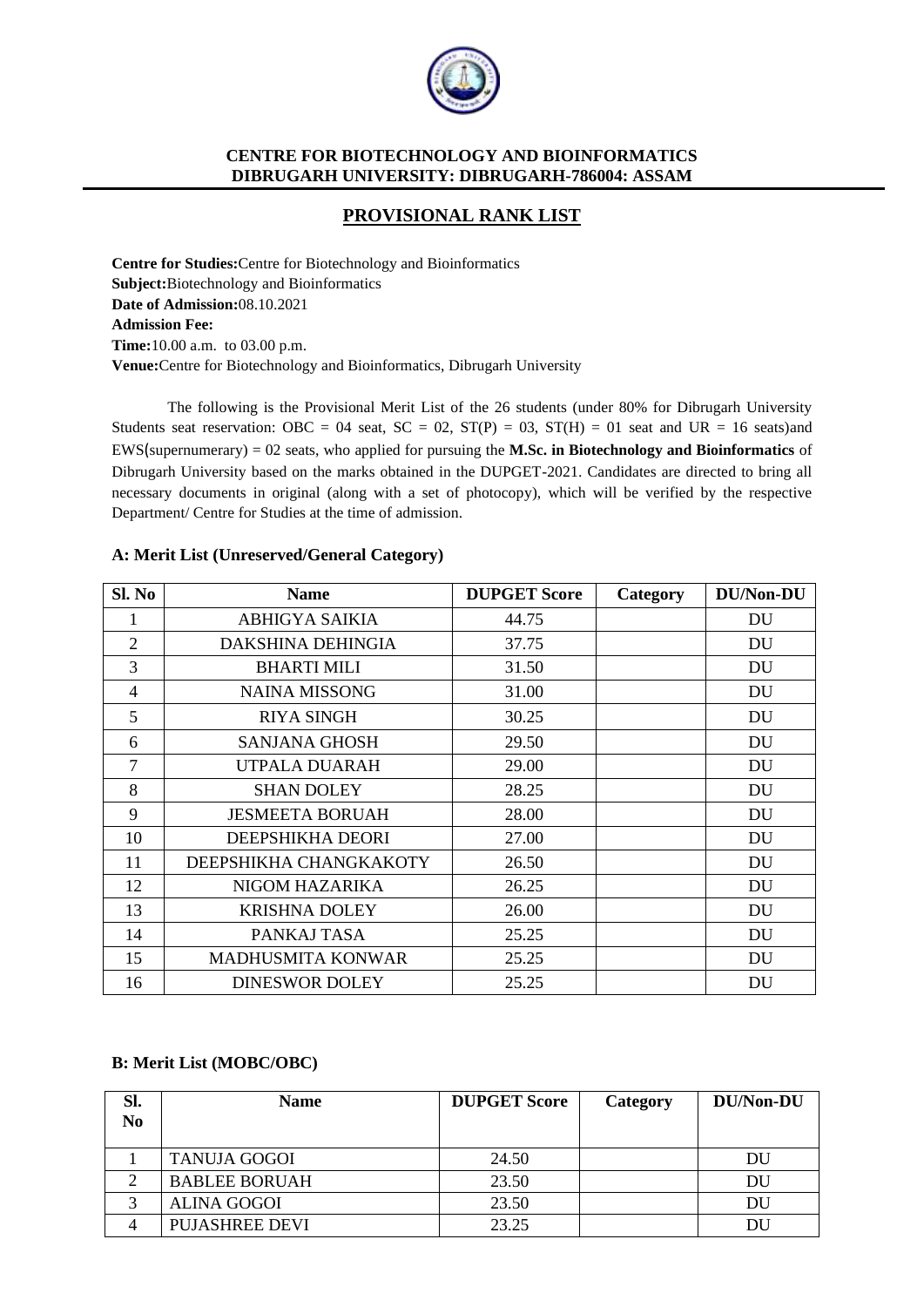

# **PROVISIONAL RANK LIST**

**Centre for Studies:**Centre for Biotechnology and Bioinformatics **Subject:**Biotechnology and Bioinformatics **Date of Admission:**08.10.2021 **Admission Fee: Time:**10.00 a.m. to 03.00 p.m. **Venue:**Centre for Biotechnology and Bioinformatics, Dibrugarh University

The following is the Provisional Merit List of the 26 students (under 80% for Dibrugarh University Students seat reservation: OBC = 04 seat, SC = 02,  $ST(P) = 03$ ,  $ST(H) = 01$  seat and UR = 16 seats)and EWS(supernumerary) = 02 seats, who applied for pursuing the **M.Sc. in Biotechnology and Bioinformatics** of Dibrugarh University based on the marks obtained in the DUPGET-2021. Candidates are directed to bring all necessary documents in original (along with a set of photocopy), which will be verified by the respective Department/ Centre for Studies at the time of admission.

| Sl. No         | <b>Name</b>            | <b>DUPGET Score</b> | Category | <b>DU/Non-DU</b> |
|----------------|------------------------|---------------------|----------|------------------|
| I              | <b>ABHIGYA SAIKIA</b>  | 44.75               |          | DU               |
| $\overline{2}$ | DAKSHINA DEHINGIA      | 37.75               |          | DU               |
| 3              | <b>BHARTI MILI</b>     | 31.50               |          | DU               |
| 4              | <b>NAINA MISSONG</b>   | 31.00               |          | DU               |
| 5              | RIYA SINGH             | 30.25               |          | DU               |
| 6              | <b>SANJANA GHOSH</b>   | 29.50               |          | DU               |
| 7              | UTPALA DUARAH          | 29.00               |          | DU               |
| 8              | <b>SHAN DOLEY</b>      | 28.25               |          | DU               |
| 9              | <b>JESMEETA BORUAH</b> | 28.00               |          | DU               |
| 10             | DEEPSHIKHA DEORI       | 27.00               |          | DU               |
| 11             | DEEPSHIKHA CHANGKAKOTY | 26.50               |          | DU               |
| 12             | NIGOM HAZARIKA         | 26.25               |          | DU               |
| 13             | <b>KRISHNA DOLEY</b>   | 26.00               |          | DU               |
| 14             | PANKAJ TASA            | 25.25               |          | DU               |
| 15             | MADHUSMITA KONWAR      | 25.25               |          | DU               |
| 16             | <b>DINESWOR DOLEY</b>  | 25.25               |          | DU               |

#### **A: Merit List (Unreserved/General Category)**

#### **B: Merit List (MOBC/OBC)**

| Sl.            | <b>Name</b>           | <b>DUPGET Score</b> | Category | DU/Non-DU |
|----------------|-----------------------|---------------------|----------|-----------|
| N <sub>0</sub> |                       |                     |          |           |
|                |                       |                     |          |           |
|                | <b>TANUJA GOGOI</b>   | 24.50               |          | DU        |
|                | <b>BABLEE BORUAH</b>  | 23.50               |          | DU        |
|                | <b>ALINA GOGOI</b>    | 23.50               |          | DU        |
|                | <b>PUJASHREE DEVI</b> | 23.25               |          | DU        |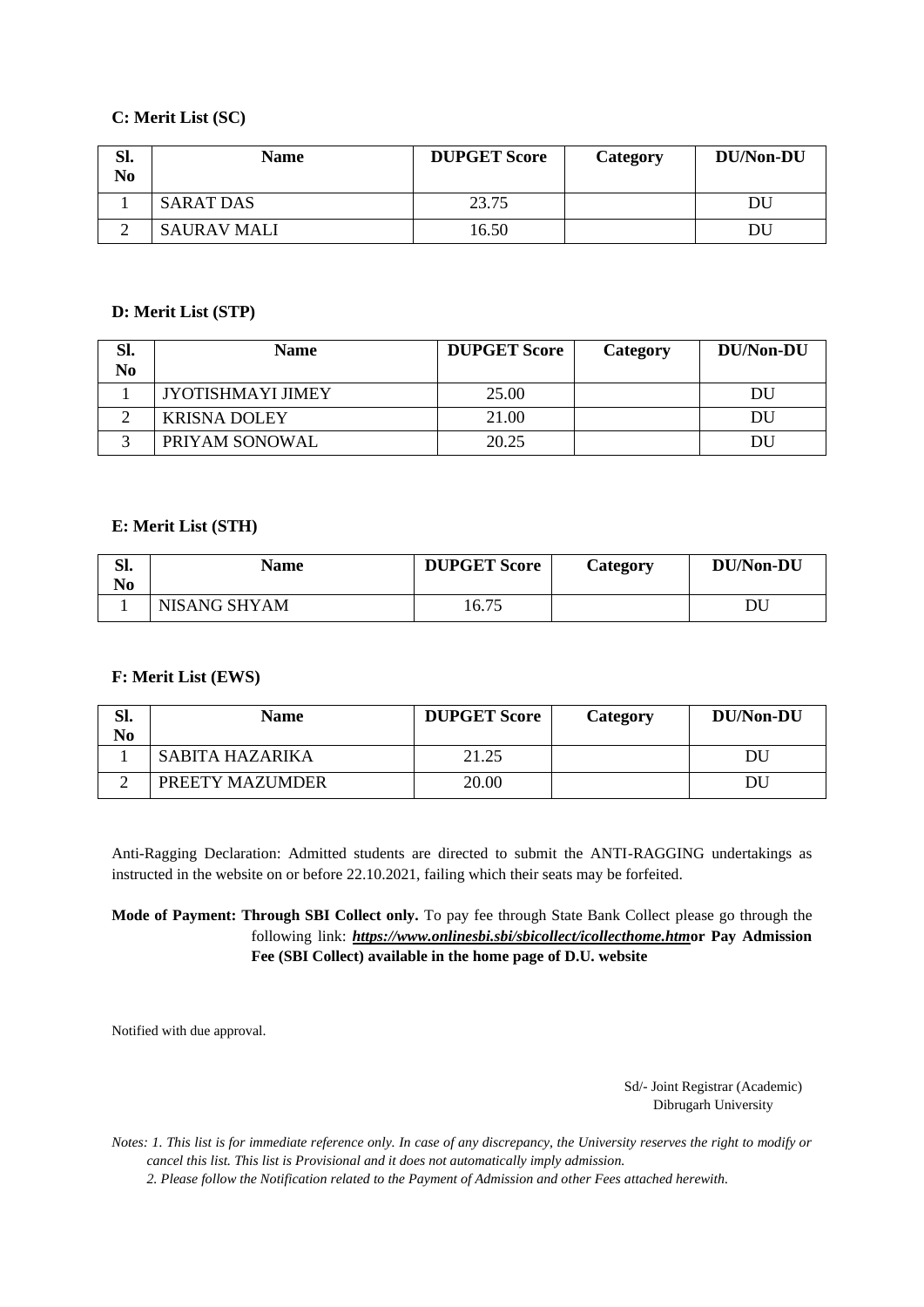# **C: Merit List (SC)**

| Sl.<br>No | <b>Name</b>        | <b>DUPGET Score</b> | Category | DU/Non-DU |
|-----------|--------------------|---------------------|----------|-----------|
|           | <b>SARAT DAS</b>   | 23.75               |          | DU        |
|           | <b>SAURAV MALI</b> | 16.50               |          | DU        |

## **D: Merit List (STP)**

| Sl.            | <b>Name</b>         | <b>DUPGET Score</b> | Category | DU/Non-DU |
|----------------|---------------------|---------------------|----------|-----------|
| N <sub>0</sub> |                     |                     |          |           |
|                | JYOTISHMAYI JIMEY   | 25.00               |          | DU        |
|                | <b>KRISNA DOLEY</b> | 21.00               |          | DU        |
|                | PRIYAM SONOWAL      | 20.25               |          | DU        |

## **E: Merit List (STH)**

| C٦<br>oı.<br>No | <b>Name</b>         | <b>DUPGET Score</b> | Category | <b>DU/Non-DU</b> |
|-----------------|---------------------|---------------------|----------|------------------|
|                 | <b>NISANG SHYAM</b> | 16.75               |          |                  |

# **F: Merit List (EWS)**

| Sl.<br>No | <b>Name</b>     | <b>DUPGET Score</b> | Category | <b>DU/Non-DU</b> |
|-----------|-----------------|---------------------|----------|------------------|
|           | SABITA HAZARIKA | 21.25               |          | DU               |
| ∸         | PREETY MAZUMDER | 20.00               |          | DU               |

Anti-Ragging Declaration: Admitted students are directed to submit the ANTI-RAGGING undertakings as instructed in the website on or before 22.10.2021, failing which their seats may be forfeited.

## **Mode of Payment: Through SBI Collect only.** To pay fee through State Bank Collect please go through the following link: *<https://www.onlinesbi.sbi/sbicollect/icollecthome.htm>***or Pay Admission Fee (SBI Collect) available in the home page of D.U. website**

Notified with due approval.

Sd/- Joint Registrar (Academic) Dibrugarh University

*Notes: 1. This list is for immediate reference only. In case of any discrepancy, the University reserves the right to modify or cancel this list. This list is Provisional and it does not automatically imply admission.*

*2. Please follow the Notification related to the Payment of Admission and other Fees attached herewith.*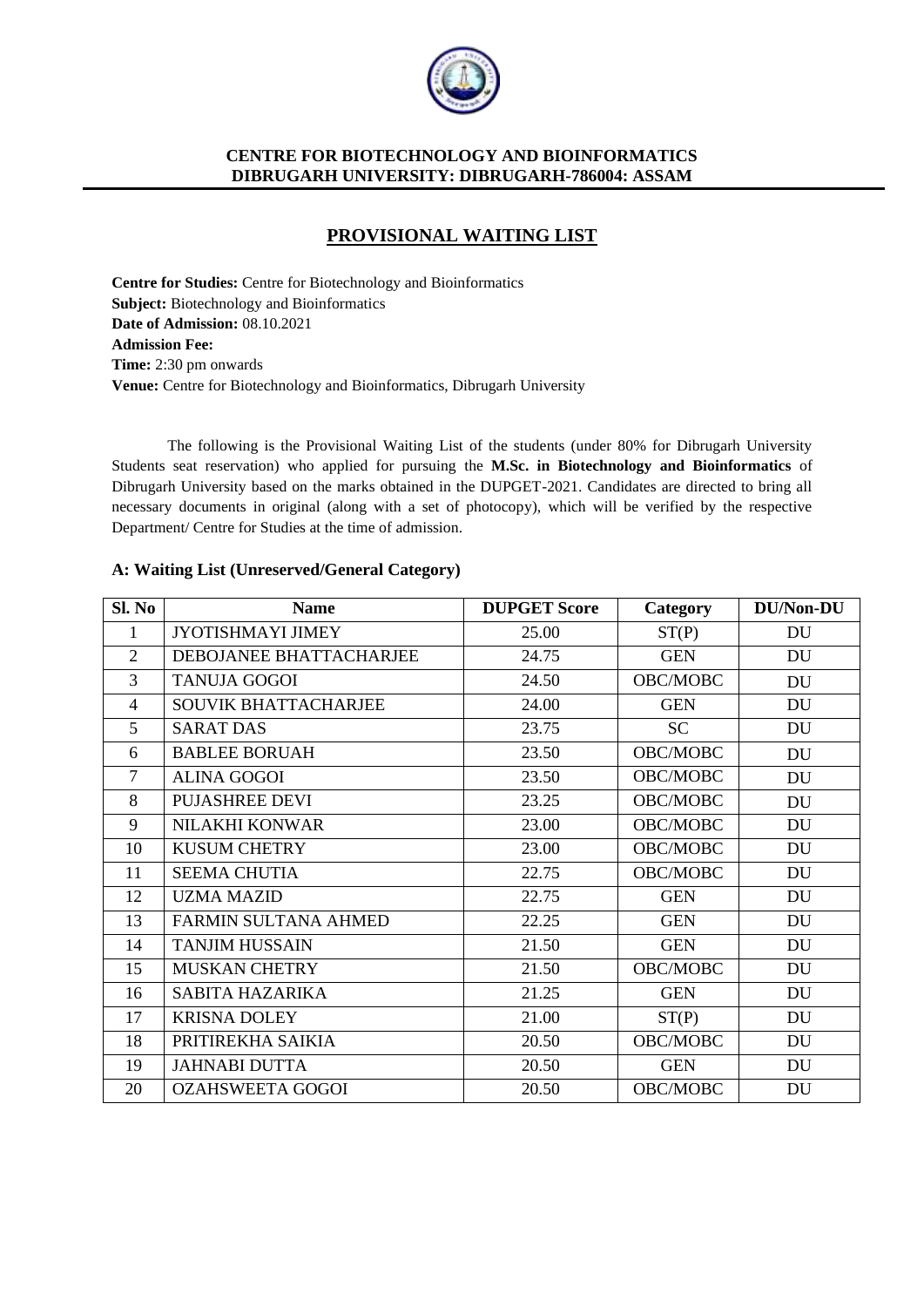

# **PROVISIONAL WAITING LIST**

**Centre for Studies:** Centre for Biotechnology and Bioinformatics **Subject:** Biotechnology and Bioinformatics **Date of Admission:** 08.10.2021 **Admission Fee: Time:** 2:30 pm onwards **Venue:** Centre for Biotechnology and Bioinformatics, Dibrugarh University

The following is the Provisional Waiting List of the students (under 80% for Dibrugarh University Students seat reservation) who applied for pursuing the **M.Sc. in Biotechnology and Bioinformatics** of Dibrugarh University based on the marks obtained in the DUPGET-2021. Candidates are directed to bring all necessary documents in original (along with a set of photocopy), which will be verified by the respective Department/ Centre for Studies at the time of admission.

## **A: Waiting List (Unreserved/General Category)**

| Sl. No         | <b>Name</b>                 | <b>DUPGET Score</b> | Category   | <b>DU/Non-DU</b> |
|----------------|-----------------------------|---------------------|------------|------------------|
|                | JYOTISHMAYI JIMEY           | 25.00               | ST(P)      | DU               |
| $\overline{2}$ | DEBOJANEE BHATTACHARJEE     | 24.75               | <b>GEN</b> | DU               |
| 3              | <b>TANUJA GOGOI</b>         | 24.50               | OBC/MOBC   | DU               |
| $\overline{4}$ | <b>SOUVIK BHATTACHARJEE</b> | 24.00               | <b>GEN</b> | <b>DU</b>        |
| 5              | <b>SARAT DAS</b>            | 23.75               | SC         | DU               |
| 6              | <b>BABLEE BORUAH</b>        | 23.50               | OBC/MOBC   | DU               |
| $\overline{7}$ | <b>ALINA GOGOI</b>          | 23.50               | OBC/MOBC   | DU               |
| 8              | <b>PUJASHREE DEVI</b>       | 23.25               | OBC/MOBC   | <b>DU</b>        |
| 9              | NILAKHI KONWAR              | 23.00               | OBC/MOBC   | DU               |
| 10             | <b>KUSUM CHETRY</b>         | 23.00               | OBC/MOBC   | DU               |
| 11             | <b>SEEMA CHUTIA</b>         | 22.75               | OBC/MOBC   | <b>DU</b>        |
| 12             | <b>UZMA MAZID</b>           | 22.75               | <b>GEN</b> | DU               |
| 13             | FARMIN SULTANA AHMED        | 22.25               | <b>GEN</b> | <b>DU</b>        |
| 14             | <b>TANJIM HUSSAIN</b>       | 21.50               | <b>GEN</b> | DU               |
| 15             | <b>MUSKAN CHETRY</b>        | 21.50               | OBC/MOBC   | DU               |
| 16             | SABITA HAZARIKA             | 21.25               | <b>GEN</b> | DU               |
| 17             | <b>KRISNA DOLEY</b>         | 21.00               | ST(P)      | DU               |
| 18             | PRITIREKHA SAIKIA           | 20.50               | OBC/MOBC   | <b>DU</b>        |
| 19             | <b>JAHNABI DUTTA</b>        | 20.50               | <b>GEN</b> | DU               |
| 20             | <b>OZAHSWEETA GOGOI</b>     | 20.50               | OBC/MOBC   | DU               |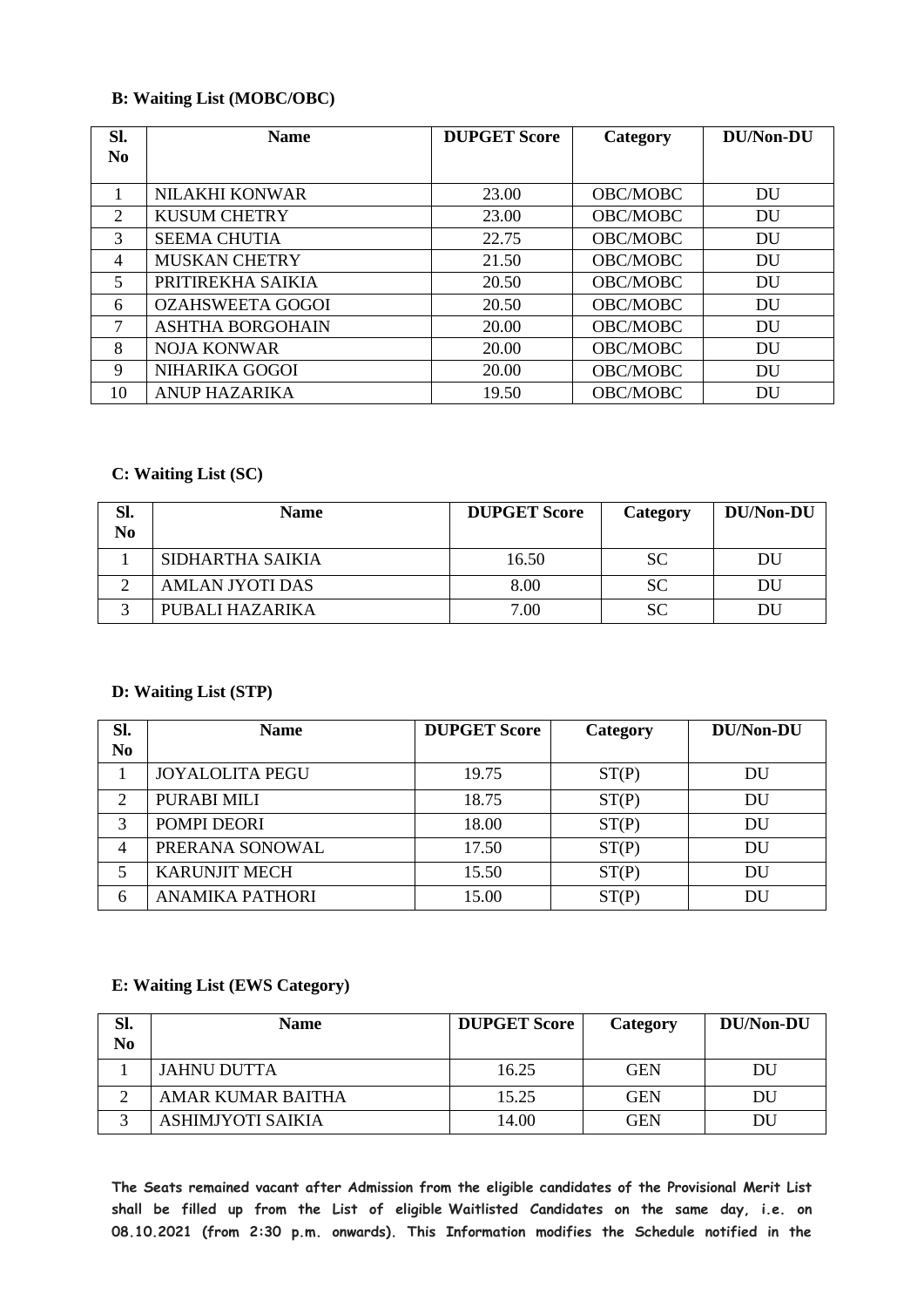## **B: Waiting List (MOBC/OBC)**

| Sl.            | <b>Name</b>             | <b>DUPGET Score</b> | Category        | DU/Non-DU |
|----------------|-------------------------|---------------------|-----------------|-----------|
| N <sub>0</sub> |                         |                     |                 |           |
|                |                         |                     |                 |           |
|                | <b>NILAKHI KONWAR</b>   | 23.00               | <b>OBC/MOBC</b> | DU        |
| $\overline{2}$ | <b>KUSUM CHETRY</b>     | 23.00               | OBC/MOBC        | DU        |
| 3              | <b>SEEMA CHUTIA</b>     | 22.75               | OBC/MOBC        | DU        |
| $\overline{4}$ | <b>MUSKAN CHETRY</b>    | 21.50               | <b>OBC/MOBC</b> | DU        |
| 5              | PRITIREKHA SAIKIA       | 20.50               | OBC/MOBC        | DU        |
| 6              | <b>OZAHSWEETA GOGOI</b> | 20.50               | <b>OBC/MOBC</b> | DU        |
| 7              | <b>ASHTHA BORGOHAIN</b> | 20.00               | <b>OBC/MOBC</b> | DU        |
| 8              | <b>NOJA KONWAR</b>      | 20.00               | OBC/MOBC        | DU        |
| 9              | NIHARIKA GOGOI          | 20.00               | OBC/MOBC        | DU        |
| 10             | <b>ANUP HAZARIKA</b>    | 19.50               | OBC/MOBC        | DU        |

# **C: Waiting List (SC)**

| Sl.<br>N <sub>0</sub> | <b>Name</b>            | <b>DUPGET Score</b> | Category  | <b>DU/Non-DU</b> |
|-----------------------|------------------------|---------------------|-----------|------------------|
|                       | SIDHARTHA SAIKIA       | 16.50               | SC.       | DU               |
|                       | <b>AMLAN JYOTI DAS</b> | 8.00                | <b>SC</b> | DU               |
|                       | PUBALI HAZARIKA        | 7.00                | SС        | DĽ               |

## **D: Waiting List (STP)**

| SI.<br>N <sub>0</sub> | <b>Name</b>            | <b>DUPGET Score</b> | Category | <b>DU/Non-DU</b> |
|-----------------------|------------------------|---------------------|----------|------------------|
|                       | <b>JOYALOLITA PEGU</b> | 19.75               | ST(P)    | DU               |
| 2                     | PURABI MILI            | 18.75               | ST(P)    | DU               |
| 3                     | POMPI DEORI            | 18.00               | ST(P)    | DU               |
| 4                     | PRERANA SONOWAL        | 17.50               | ST(P)    | DU               |
|                       | <b>KARUNJIT MECH</b>   | 15.50               | ST(P)    | DU               |
| 6                     | <b>ANAMIKA PATHORI</b> | 15.00               | ST(P)    | DU               |

## **E: Waiting List (EWS Category)**

| Sl.<br>No | <b>Name</b>       | <b>DUPGET Score</b> | Category   | DU/Non-DU |
|-----------|-------------------|---------------------|------------|-----------|
|           | JAHNU DUTTA       | 16.25               | <b>GEN</b> | DU        |
|           | AMAR KUMAR BAITHA | 15.25               | <b>GEN</b> | DU        |
|           | ASHIMJYOTI SAIKIA | 14.00               | <b>GEN</b> | DU        |

**The Seats remained vacant after Admission from the eligible candidates of the Provisional Merit List shall be filled up from the List of eligible Waitlisted Candidates on the same day, i.e. on 08.10.2021 (from 2:30 p.m. onwards). This Information modifies the Schedule notified in the**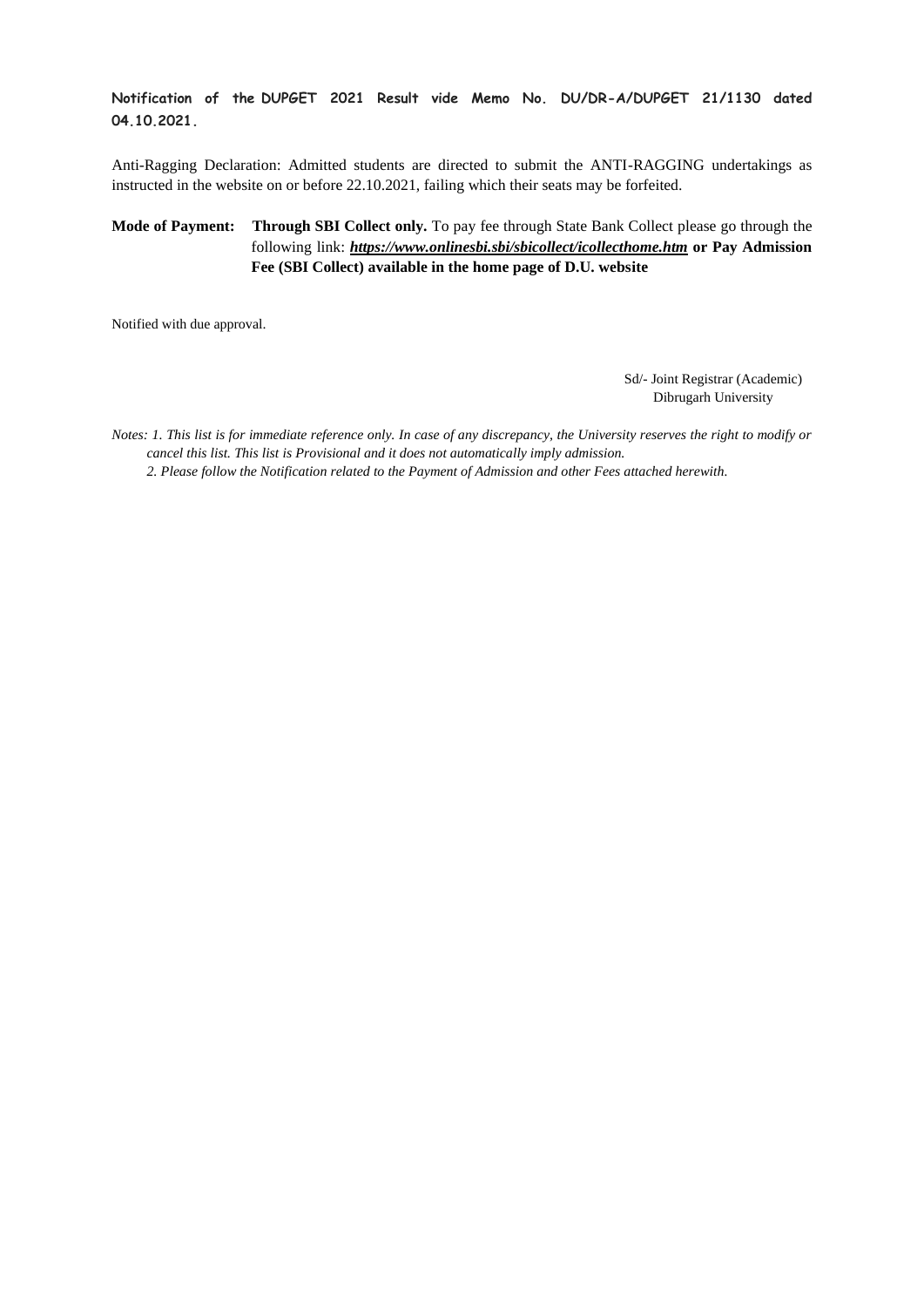#### **Notification of the DUPGET 2021 Result vide Memo No. DU/DR-A/DUPGET 21/1130 dated 04.10.2021.**

Anti-Ragging Declaration: Admitted students are directed to submit the ANTI-RAGGING undertakings as instructed in the website on or before 22.10.2021, failing which their seats may be forfeited.

#### **Mode of Payment: Through SBI Collect only.** To pay fee through State Bank Collect please go through the following link: *<https://www.onlinesbi.sbi/sbicollect/icollecthome.htm>* **or Pay Admission Fee (SBI Collect) available in the home page of D.U. website**

Notified with due approval.

Sd/- Joint Registrar (Academic) Dibrugarh University

*Notes: 1. This list is for immediate reference only. In case of any discrepancy, the University reserves the right to modify or cancel this list. This list is Provisional and it does not automatically imply admission.*

*2. Please follow the Notification related to the Payment of Admission and other Fees attached herewith.*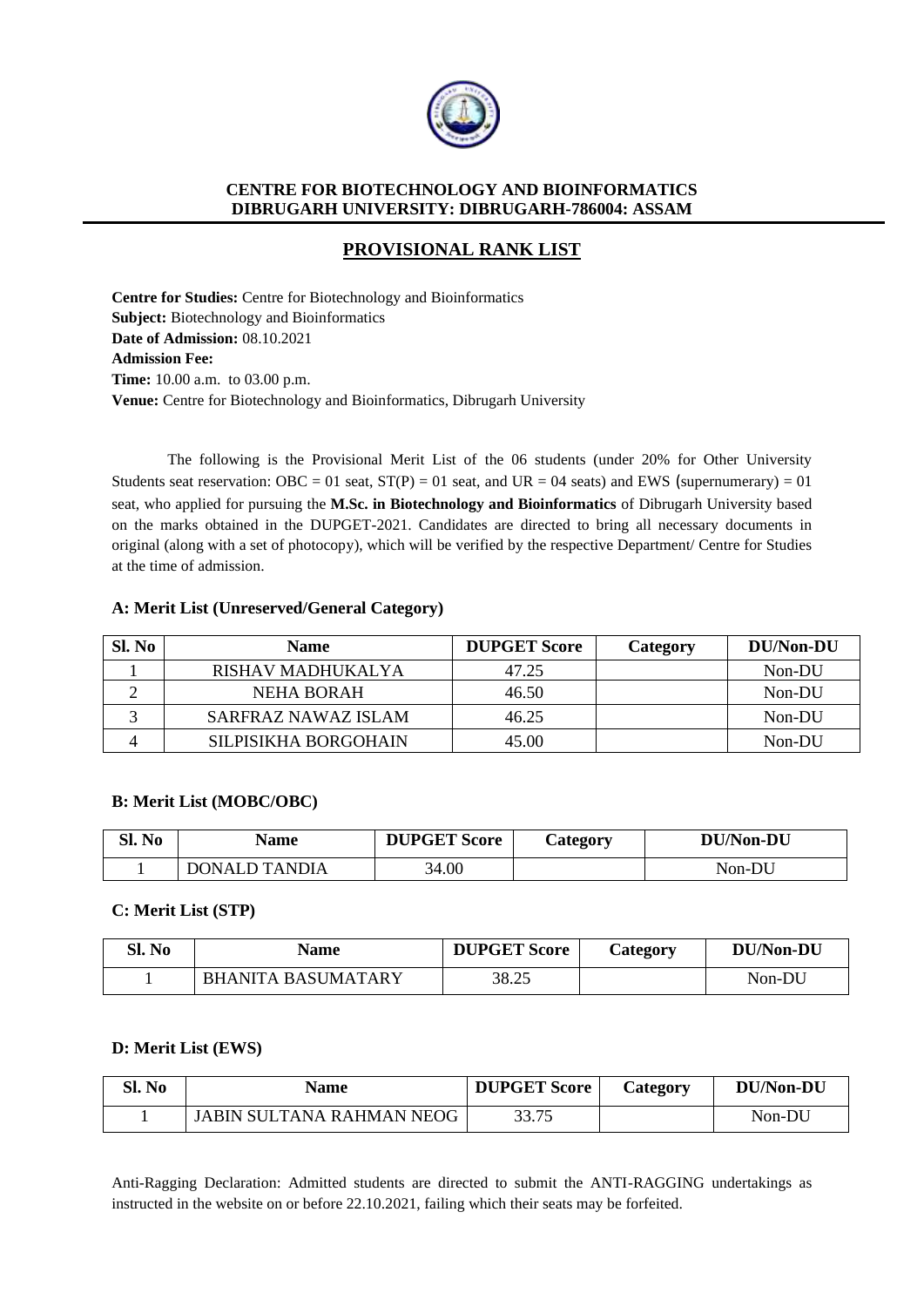

# **PROVISIONAL RANK LIST**

**Centre for Studies:** Centre for Biotechnology and Bioinformatics **Subject:** Biotechnology and Bioinformatics **Date of Admission:** 08.10.2021 **Admission Fee: Time:** 10.00 a.m. to 03.00 p.m. **Venue:** Centre for Biotechnology and Bioinformatics, Dibrugarh University

The following is the Provisional Merit List of the 06 students (under 20% for Other University Students seat reservation: OBC = 01 seat,  $ST(P) = 01$  seat, and UR = 04 seats) and EWS (supernumerary) = 01 seat, who applied for pursuing the **M.Sc. in Biotechnology and Bioinformatics** of Dibrugarh University based on the marks obtained in the DUPGET-2021. Candidates are directed to bring all necessary documents in original (along with a set of photocopy), which will be verified by the respective Department/ Centre for Studies at the time of admission.

## **A: Merit List (Unreserved/General Category)**

| Sl. No | <b>Name</b>          | <b>DUPGET Score</b> | Category | DU/Non-DU |
|--------|----------------------|---------------------|----------|-----------|
|        | RISHAV MADHUKALYA    | 47.25               |          | Non-DU    |
|        | <b>NEHA BORAH</b>    | 46.50               |          | Non-DU    |
|        | SARFRAZ NAWAZ ISLAM  | 46.25               |          | Non-DU    |
|        | SILPISIKHA BORGOHAIN | 45.00               |          | Non-DU    |

#### **B: Merit List (MOBC/OBC)**

| Sl. No | Name                 | <b>DUPGET Score</b> | <b>Category</b> | <b>DU/Non-DU</b> |
|--------|----------------------|---------------------|-----------------|------------------|
|        | <b>DONALD TANDIA</b> | 34.00               |                 | Non-DU           |

#### **C: Merit List (STP)**

| Sl. No | Name                      | <b>DUPGET Score</b> | Category | DU/Non-DU |
|--------|---------------------------|---------------------|----------|-----------|
|        | <b>BHANITA BASUMATARY</b> | 38.25               |          | Non-DU    |

#### **D: Merit List (EWS)**

| Sl. No | Name                      | <b>DUPGET Score</b> | Category | <b>DU/Non-DU</b> |
|--------|---------------------------|---------------------|----------|------------------|
|        | JABIN SULTANA RAHMAN NEOG | 33.75               |          | Non-DU           |

Anti-Ragging Declaration: Admitted students are directed to submit the ANTI-RAGGING undertakings as instructed in the website on or before 22.10.2021, failing which their seats may be forfeited.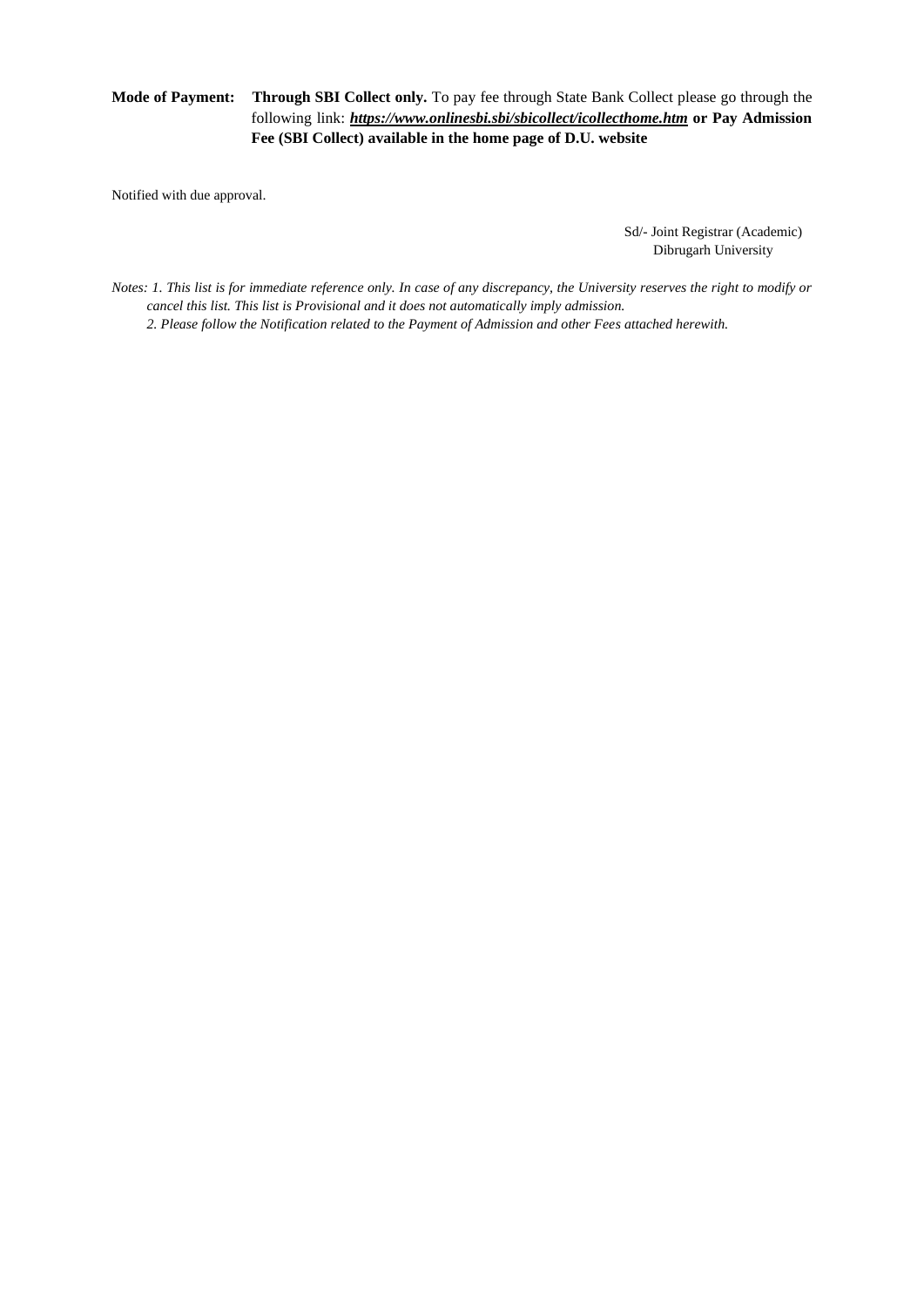## **Mode of Payment: Through SBI Collect only.** To pay fee through State Bank Collect please go through the following link: *<https://www.onlinesbi.sbi/sbicollect/icollecthome.htm>* **or Pay Admission Fee (SBI Collect) available in the home page of D.U. website**

Notified with due approval.

Sd/- Joint Registrar (Academic) Dibrugarh University

*Notes: 1. This list is for immediate reference only. In case of any discrepancy, the University reserves the right to modify or cancel this list. This list is Provisional and it does not automatically imply admission. 2. Please follow the Notification related to the Payment of Admission and other Fees attached herewith.*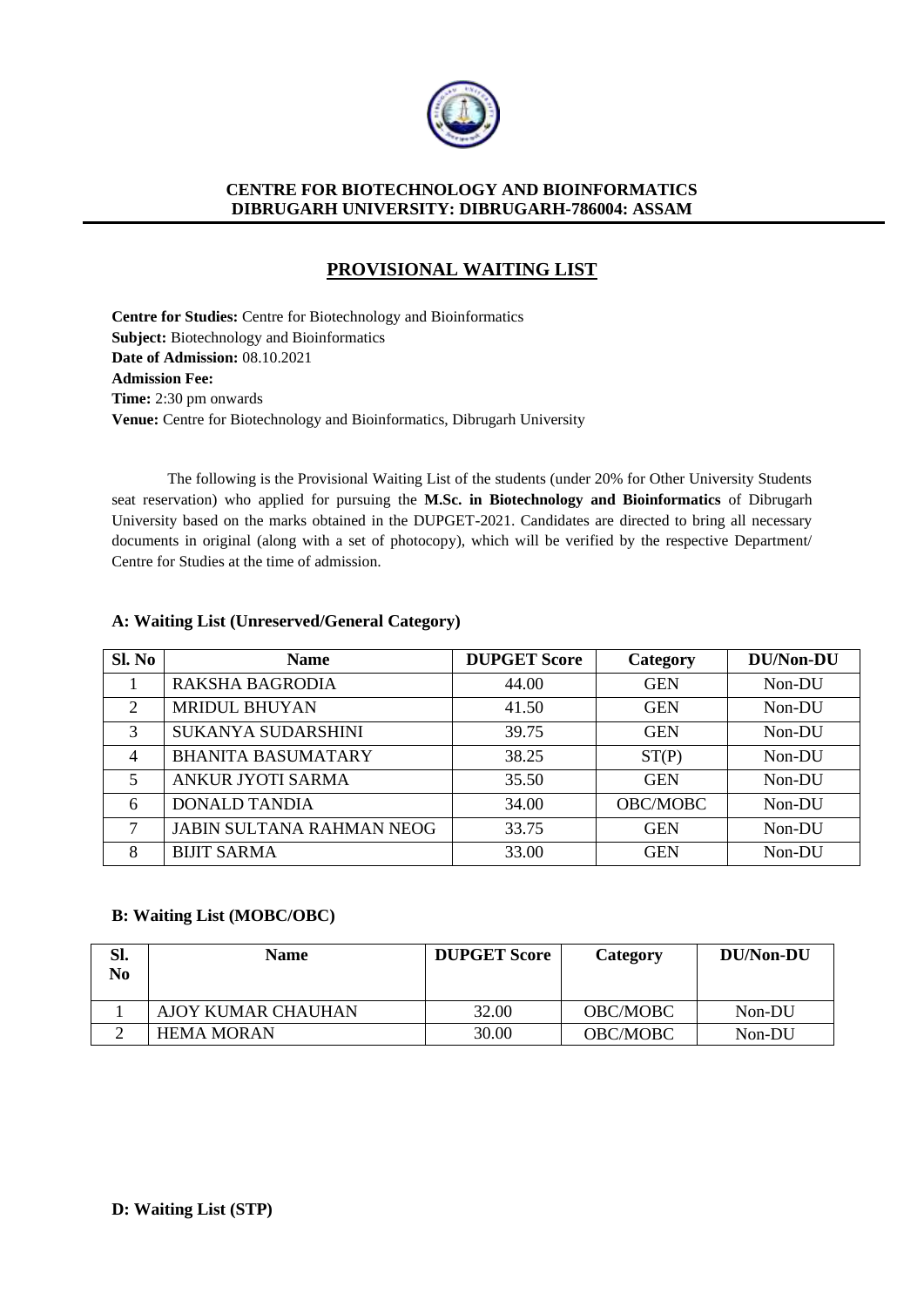

# **PROVISIONAL WAITING LIST**

**Centre for Studies:** Centre for Biotechnology and Bioinformatics **Subject:** Biotechnology and Bioinformatics **Date of Admission:** 08.10.2021 **Admission Fee: Time:** 2:30 pm onwards **Venue:** Centre for Biotechnology and Bioinformatics, Dibrugarh University

The following is the Provisional Waiting List of the students (under 20% for Other University Students seat reservation) who applied for pursuing the **M.Sc. in Biotechnology and Bioinformatics** of Dibrugarh University based on the marks obtained in the DUPGET-2021. Candidates are directed to bring all necessary documents in original (along with a set of photocopy), which will be verified by the respective Department/ Centre for Studies at the time of admission.

# **A: Waiting List (Unreserved/General Category)**

| Sl. No         | <b>Name</b>                      | <b>DUPGET Score</b> | Category   | <b>DU/Non-DU</b> |
|----------------|----------------------------------|---------------------|------------|------------------|
|                | <b>RAKSHA BAGRODIA</b>           | 44.00               | <b>GEN</b> | Non-DU           |
| 2              | MRIDUL BHUYAN                    | 41.50               | <b>GEN</b> | Non-DU           |
| 3              | <b>SUKANYA SUDARSHINI</b>        | 39.75               | <b>GEN</b> | Non-DU           |
| $\overline{4}$ | <b>BHANITA BASUMATARY</b>        | 38.25               | ST(P)      | Non-DU           |
| 5              | <b>ANKUR JYOTI SARMA</b>         | 35.50               | <b>GEN</b> | Non-DU           |
| 6              | <b>DONALD TANDIA</b>             | 34.00               | OBC/MOBC   | Non-DU           |
| 7              | <b>JABIN SULTANA RAHMAN NEOG</b> | 33.75               | <b>GEN</b> | Non-DU           |
| 8              | <b>BIJIT SARMA</b>               | 33.00               | <b>GEN</b> | Non-DU           |

# **B: Waiting List (MOBC/OBC)**

| Sl.<br>No | <b>Name</b>               | <b>DUPGET Score</b> | Category        | DU/Non-DU |
|-----------|---------------------------|---------------------|-----------------|-----------|
|           | <b>AJOY KUMAR CHAUHAN</b> | 32.00               | <b>OBC/MOBC</b> | Non-DU    |
|           | <b>HEMA MORAN</b>         | 30.00               | <b>OBC/MOBC</b> | Non-DU    |